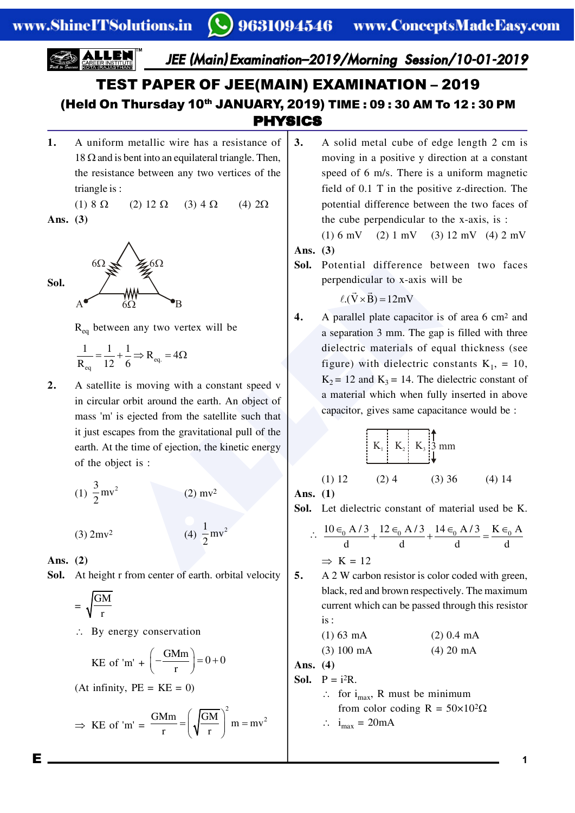# PHYSICS TEST PAPER OF JEE(MAIN) EXAMINATION – 2019 (Held On Thursday 10<sup>th</sup> JANUARY, 2019) TIME : 09:30 AM To 12:30 PM

**1.** A uniform metallic wire has a resistance of  $18 \Omega$  and is bent into an equilateral triangle. Then, the resistance between any two vertices of the triangle is :

(1)  $8 \Omega$  (2)  $12 \Omega$  (3)  $4 \Omega$  (4)  $2\Omega$ 

**Ans. (3)**



 $R_{eq}$  between any two vertex will be

$$
\frac{1}{R_{eq}} = \frac{1}{12} + \frac{1}{6} \Rightarrow R_{eq.} = 4\Omega
$$

**2.** A satellite is moving with a constant speed v in circular orbit around the earth. An object of mass 'm' is ejected from the satellite such that it just escapes from the gravitational pull of the earth. At the time of ejection, the kinetic energy of the object is :

(1) 
$$
\frac{3}{2}
$$
mv<sup>2</sup> (2) mv<sup>2</sup>

 $(3)$  2mv<sup>2</sup>

**Ans. (2)**

**Sol.** At height r from center of earth. orbital velocity

 $\frac{1}{2}$  mv<sup>2</sup> 2

$$
=\sqrt{\frac{GM}{r}}
$$

 $\therefore$  By energy conservation

KE of 'm' + 
$$
\left(-\frac{GMm}{r}\right) = 0 + 0
$$
  
(At infinity, PE = KE = 0)

$$
\Rightarrow \text{ KE of 'm'} = \frac{\text{GMm}}{r} = \left(\sqrt{\frac{\text{GM}}{r}}\right)^2 m = mv^2
$$

- **3.** A solid metal cube of edge length 2 cm is moving in a positive y direction at a constant speed of 6 m/s. There is a uniform magnetic field of 0.1 T in the positive z-direction. The potential difference between the two faces of the cube perpendicular to the x-axis, is :
- (1) 6 mV (2) 1 mV (3) 12 mV (4) 2 mV **Ans. (3)**
- **Sol.** Potential difference between two faces perpendicular to x-axis will be

 $\ell.(\vec{V} \times \vec{B}) = 12 \text{mV}$ 

Sol. Potential difference bet<br>
beginned to x-axis will<br>
beginned the transmit and the example of the perpendicular to x-axis will<br>
beginned the sequence of the perpendicular to x-axis will<br>
be the difference bet<br>
critical **4.** A parallel plate capacitor is of area 6 cm2 and a separation 3 mm. The gap is filled with three dielectric materials of equal thickness (see figure) with dielectric constants  $K_1$ , = 10,  $K_2 = 12$  and  $K_3 = 14$ . The dielectric constant of a material which when fully inserted in above capacitor, gives same capacitance would be :

$$
\begin{array}{|c|c|}\n\hline\nK_1 & K_2 & K_3 \end{array}
$$

(1) 12 (2) 4 (3) 36 (4) 14

**Ans. (1)**

**Sol.** Let dielectric constant of material used be K.

$$
\therefore \frac{10 \epsilon_0 A/3}{d} + \frac{12 \epsilon_0 A/3}{d} + \frac{14 \epsilon_0 A/3}{d} = \frac{K \epsilon_0 A}{d}
$$

$$
\Rightarrow K = 12
$$

**5.** A 2 W carbon resistor is color coded with green, black, red and brown respectively. The maximum current which can be passed through this resistor is :

(1) 63 mA (2) 0.4 mA

$$
(3) 100 \text{ mA} \tag{4} 20 \text{ mA}
$$

**Ans. (4)**

- **Sol.**  $P = i^2R$ .
	- $\therefore$  for i<sub>max</sub>, R must be minimum from color coding  $R = 50 \times 10^2 \Omega$

$$
\therefore i_{\text{max}} = 20 \text{mA}
$$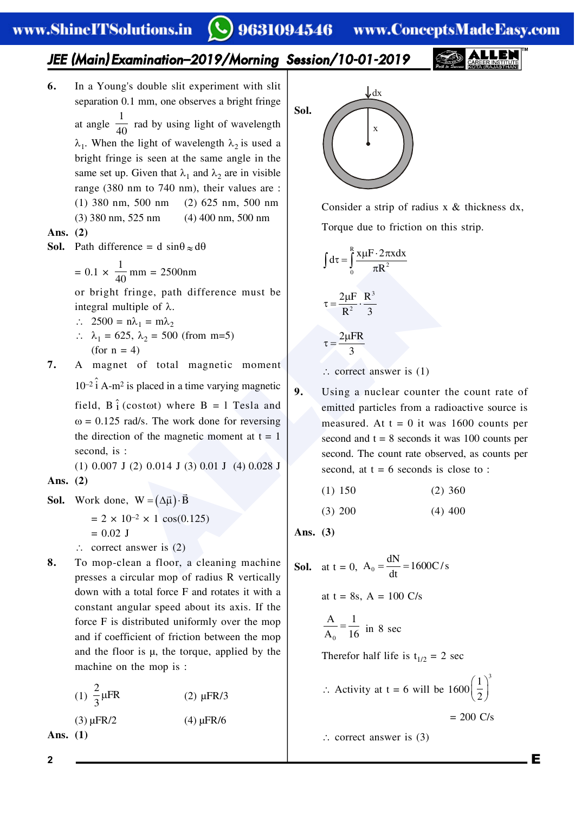**6.** In a Young's double slit experiment with slit separation 0.1 mm, one observes a bright fringe at angle 1  $\frac{1}{40}$  rad by using light of wavelength  $\lambda_1$ . When the light of wavelength  $\lambda_2$  is used a bright fringe is seen at the same angle in the

same set up. Given that  $\lambda_1$  and  $\lambda_2$  are in visible range (380 nm to 740 nm), their values are :

- (1) 380 nm, 500 nm (2) 625 nm, 500 nm
- (3) 380 nm, 525 nm (4) 400 nm, 500 nm

### **Ans. (2)**

**Sol.** Path difference = d  $\sin\theta \approx d\theta$ 

 $= 0.1 \times$ 1  $\frac{1}{40}$  mm = 2500nm

or bright fringe, path difference must be integral multiple of  $\lambda$ .

- $\therefore$  2500 =  $n\lambda_1 = m\lambda_2$ ∴  $\lambda_1 = 625$ ,  $\lambda_2 = 500$  (from m=5)
- (for  $n = 4$ ) **7.** A magnet of total magnetic moment

 $10^{-2}$   $\hat{i}$  A-m<sup>2</sup> is placed in a time varying magnetic field,  $B \hat{i}$  (costot) where  $B = 1$  Tesla and  $\omega$  = 0.125 rad/s. The work done for reversing the direction of the magnetic moment at  $t = 1$ second, is :

(1) 0.007 J (2) 0.014 J (3) 0.01 J (4) 0.028 J **Ans. (2)**

**Sol.** Work done,  $W = (\Delta \vec{\mu}) \cdot \vec{B}$ 

 $= 2 \times 10^{-2} \times 1 \cos(0.125)$  $= 0.02$  J

- $\therefore$  correct answer is (2)
- **8.** To mop-clean a floor, a cleaning machine presses a circular mop of radius R vertically down with a total force F and rotates it with a constant angular speed about its axis. If the force F is distributed uniformly over the mop and if coefficient of friction between the mop and the floor is µ, the torque, applied by the machine on the mop is :
	- (1)  $\frac{2}{3} \mu FR$ 3 (2) µFR/3 (3)  $\mu$ FR/2 (4)  $\mu$ FR/6

**Ans. (1)**

**Sol.** x  $\int dx$ 

> Consider a strip of radius x & thickness dx, Torque due to friction on this strip.

$$
\int d\tau = \int_0^R \frac{x\mu F \cdot 2\pi x dx}{\pi R^2}
$$

$$
\tau = \frac{2\mu F}{R^2} \cdot \frac{R^3}{3}
$$

$$
\tau = \frac{2\mu FR}{3}
$$

 $\therefore$  correct answer is (1)

- $\frac{1}{40}$  mm = 2500nm<br>
t fringe, path difference must be<br>
multiple of λ.<br>
= nλ<sub>1</sub> = mλ<sub>2</sub><br>
525, λ<sub>2</sub> = 500 (from m=5)<br>
= 4)<br>
en λ<sub>1</sub> = mλ<sub>2</sub><br>
525, λ<sub>2</sub> = 500 (from m=5)<br>
= 4)<br>  $\tau = \frac{2\mu F}{R^2} \cdot \frac{R^3}{3}$ <br>  $\tau = \frac{2\mu F R$ **9.** Using a nuclear counter the count rate of emitted particles from a radioactive source is measured. At  $t = 0$  it was 1600 counts per second and  $t = 8$  seconds it was 100 counts per second. The count rate observed, as counts per second, at  $t = 6$  seconds is close to :
	- (1) 150 (2) 360
	- (3) 200 (4) 400

**Ans. (3)**

**Sol.** at t = 0, A<sub>0</sub> = 
$$
\frac{dN}{dt}
$$
 = 1600C/s  
at t = 8s, A = 100 C/s  
 $\frac{A}{A_0} = \frac{1}{16}$  in 8 sec  
Therefore half life is t<sub>1/2</sub> = 2 sec  
 $\therefore$  Activity at t = 6 will be 1600 $\left(\frac{1}{2}\right)^3$   
= 200 C/s

 $\therefore$  correct answer is (3)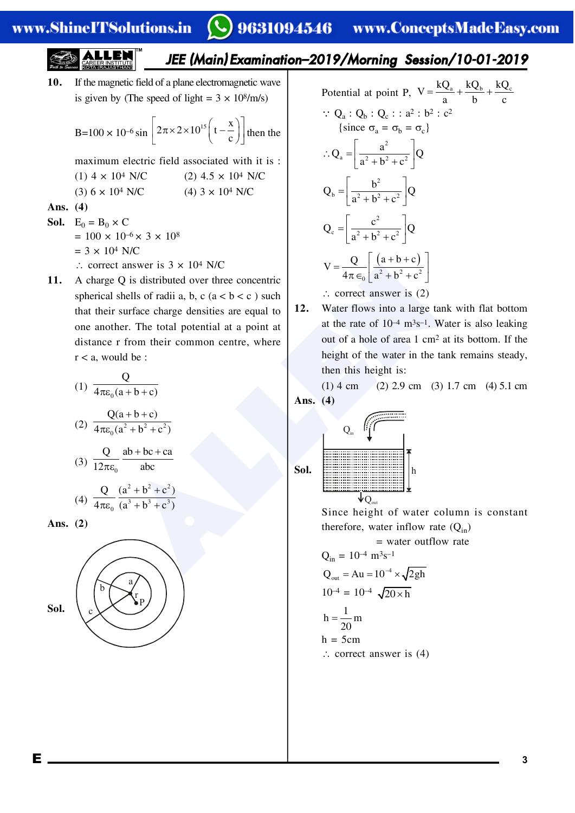**10.** If the magnetic field of a plane electromagnetic wave is given by (The speed of light =  $3 \times 10^8$ /m/s)

B=100 × 10<sup>-6</sup> sin 
$$
\left[2\pi \times 2 \times 10^{15} \left(t - \frac{x}{c}\right)\right]
$$
 then the

maximum electric field associated with it is :

(1) 
$$
4 \times 10^4
$$
 N/C (2)  $4.5 \times 10^4$  N/C

(3)  $6 \times 10^4$  N/C (4)  $3 \times 10^4$  N/C

Ans. 
$$
(4)
$$

- **Sol.**  $E_0 = B_0 \times C$  $= 100 \times 10^{-6} \times 3 \times 10^{8}$  $= 3 \times 10^4$  N/C  $\therefore$  correct answer is  $3 \times 10^4$  N/C
- answer is 3 x 10<sup>4</sup> N/C<br>
Q is distributed over three concentric<br>
Q is distributed over three concentric<br>
hells of radii a, b, c (a < b < c) such<br>
enter. The total potential at a point at<br>
the rate of 10<sup>4</sup> m<sup>3</sup>s<sup>-1</sup>. We a **11.** A charge Q is distributed over three concentric spherical shells of radii a, b, c  $(a < b < c)$  such that their surface charge densities are equal to one another. The total potential at a point at distance r from their common centre, where  $r < a$ , would be :

(1) 
$$
\frac{Q}{4\pi\varepsilon_0(a+b+c)}
$$
  
\n(2) 
$$
\frac{Q(a+b+c)}{4\pi\varepsilon_0(a^2+b^2+c^2)}
$$
  
\n(3) 
$$
\frac{Q}{12\pi\varepsilon_0} \frac{ab+bc+ca}{abc}
$$
  
\n(4) 
$$
\frac{Q}{4\pi\varepsilon_0} \frac{(a^2+b^2+c^2)}{(a^3+b^3+c^3)}
$$

**Ans. (2)**



Potential at point P, 
$$
V = \frac{kQ_a}{a} + \frac{kQ_b}{b} + \frac{kQ_c}{c}
$$
  
\n $\therefore Q_a : Q_b : Q_c : a^2 : b^2 : c^2$   
\n{since  $\sigma_a = \sigma_b = \sigma_c$ }  
\n $\therefore Q_a = \left[\frac{a^2}{a^2 + b^2 + c^2}\right]Q$   
\n $Q_b = \left[\frac{b^2}{a^2 + b^2 + c^2}\right]Q$   
\n $Q_c = \left[\frac{c^2}{a^2 + b^2 + c^2}\right]Q$   
\n $V = \frac{Q}{4\pi\epsilon_0} \left[\frac{(a+b+c)}{a^2 + b^2 + c^2}\right]$   
\n $\therefore$  correct answer is (2)

**12.** Water flows into a large tank with flat bottom at the rate of  $10^{-4}$  m<sup>3</sup>s<sup>-1</sup>. Water is also leaking out of a hole of area 1 cm2 at its bottom. If the height of the water in the tank remains steady, then this height is:

(1) 4 cm (2) 2.9 cm (3) 1.7 cm (4) 5.1 cm **Ans. (4)**



Since height of water column is constant therefore, water inflow rate  $(Q_{in})$ 

$$
= \text{water outflow rate}
$$
  
Q<sub>in</sub> = 10<sup>-4</sup> m<sup>3</sup>s<sup>-1</sup>  
Q<sub>out</sub> = Au = 10<sup>-4</sup> × √2gh  
10<sup>-4</sup> = 10<sup>-4</sup> √20×h  
h =  $\frac{1}{20}$ m  
h = 5cm  
∴ correct answer is (4)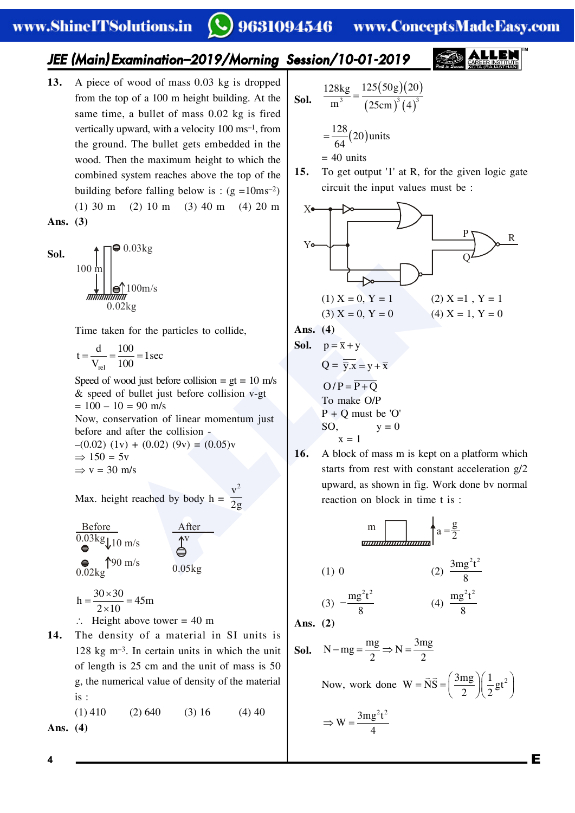# 9631094546 www.ConceptsMadeEasy.com

# *JEE (Main) Examination–2019/Morning Session/10-01-2019*

**13.** A piece of wood of mass 0.03 kg is dropped from the top of a 100 m height building. At the same time, a bullet of mass 0.02 kg is fired vertically upward, with a velocity 100 ms–1, from the ground. The bullet gets embedded in the wood. Then the maximum height to which the combined system reaches above the top of the building before falling below is :  $(g = 10 \text{ms}^{-2})$ (1) 30 m (2) 10 m (3) 40 m (4) 20 m

**Ans. (3)**

**Sol.**  $100 r$ 100m/s 0.02kg  $\bullet$  0.03kg

Time taken for the particles to collide,

$$
t = \frac{d}{V_{rel}} = \frac{100}{100} = 1 \sec
$$

Speed of wood just before collision  $= gt = 10$  m/s & speed of bullet just before collision v-gt  $= 100 - 10 = 90$  m/s Now, conservation of linear momentum just before and after the collision -

 $-(0.02)$  (1v) + (0.02) (9v) = (0.05)v  $\Rightarrow$  150 = 5v  $\Rightarrow$  v = 30 m/s

Max. height reached by body  $h =$  $v^2$ 2g

| Before                            | After                    |                  |
|-----------------------------------|--------------------------|------------------|
| $0.03 \text{kg} + 10 \text{ m/s}$ | $\uparrow \text{N}$      |                  |
| $\bigcirc \text{S}$               | $\uparrow \text{90 m/s}$ | $0.05 \text{kg}$ |

$$
h = \frac{30 \times 30}{2 \times 10} = 45m
$$

$$
\therefore
$$
 Height above tower = 40 m

**14.** The density of a material in SI units is 128 kg m–3. In certain units in which the unit of length is 25 cm and the unit of mass is 50 g, the numerical value of density of the material is :

 $(1)$  410  $(2)$  640  $(3)$  16  $(4)$  40 **Ans. (4)**

**Sol.** 
$$
\frac{128 \text{kg}}{\text{m}^3} = \frac{125(50 \text{g})(20)}{(25 \text{cm})^3 (4)^3}
$$

$$
= \frac{128}{64} (20) \text{units}
$$

 $= 40$  units

**15.** To get output '1' at R, for the given logic gate circuit the input values must be :



**Sol.** 
$$
p = \overline{x} + y
$$

$$
Q = \overline{y} \cdot \overline{x} = y + \overline{x}
$$

$$
O/P = \overline{P + Q}
$$
To make O/P  
P + Q must be 'O  
SO, y = 0  
x = 1

**16.** A block of mass m is kept on a platform which starts from rest with constant acceleration g/2 upward, as shown in fig. Work done bv normal reaction on block in time t is :

$$
\frac{m}{\text{tanummanianian}} \begin{cases}\n\text{a} = \frac{g}{2} \\
\text{(1) 0} \\
\text{(2) } \frac{3mg^2t^2}{8} \\
\text{(3) } -\frac{mg^2t^2}{8} \\
\text{(4) } \frac{mg^2t^2}{8}\n\end{cases}
$$
\nAns. (2)

\nSol. N – mg =  $\frac{mg}{2} \Rightarrow N = \frac{3mg}{2}$ 

\nNow, work done W =  $\vec{N}\vec{S} = \left(\frac{3mg}{2}\right)\left(\frac{1}{2}gt^2\right)$ 

\n
$$
\Rightarrow W = \frac{3mg^2t^2}{t}
$$

4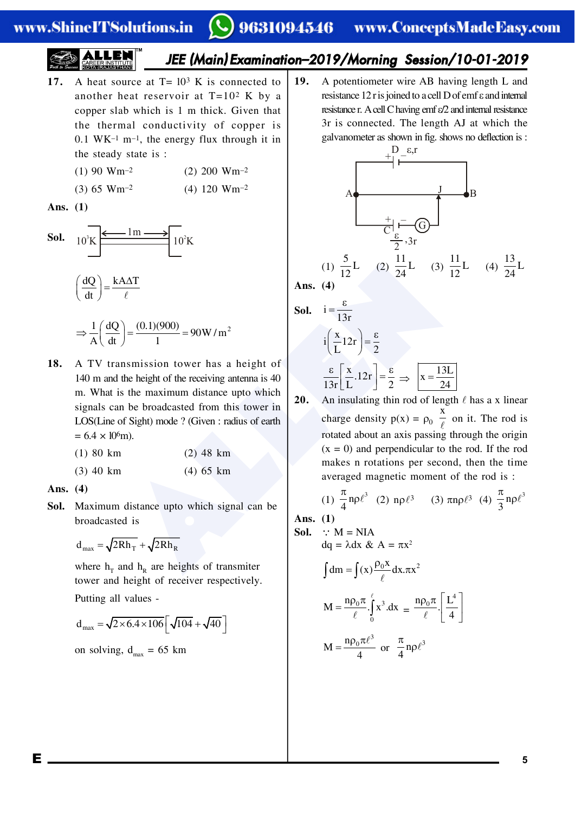## www.ShineITSolutions.in

# 9631094546 www.ConceptsMadeEasy.com

*JEE (Main) Examination–2019/Morning Session/10-01-2019*

- **17.** A heat source at  $T = 10^3$  K is connected to another heat reservoir at  $T=10^2$  K by a copper slab which is 1 m thick. Given that the thermal conductivity of copper is  $0.1$  WK<sup>-1</sup> m<sup>-1</sup>, the energy flux through it in the steady state is :
	- (1) 90 Wm<sup>-2</sup> (2) 200 Wm<sup>-2</sup>
	- (3) 65 Wm<sup>-2</sup> (4) 120 Wm<sup>-2</sup>

**Ans. (1)**



$$
\Rightarrow \frac{1}{A} \left( \frac{dQ}{dt} \right) = \frac{(0.1)(900)}{1} = 90 \,\text{W/m}^2
$$

 $\frac{AAT}{\ell}$ <br>  $\left(\frac{0.11)(900}{1}\right) = 90W/m^2$ <br>  $\left(\frac{0.11)(900}{1}\right) = 90W/m^2$ <br>  $\left(\frac{0.11)(900}{1}\right) = 90W/m^2$ <br>  $\left(\frac{0.11)(900}{1}\right) = 90W/m^2$ <br>  $\left(\frac{0.11}{1.3r}\right) = \frac{0.11}{2}$ <br>  $\left(\frac{0.11)(900}{1.3r}\right) = 90W/m^2$ <br>  $\left(\frac{0.11}{1.3r}\right) = \frac{0$ **18.** A TV transmission tower has a height of 140 m and the height of the receiving antenna is 40 m. What is the maximum distance upto which signals can be broadcasted from this tower in LOS(Line of Sight) mode ? (Given : radius of earth  $= 6.4 \times 10^{6}$ m).

| $(1)$ 80 km | $(2)$ 48 km |  |
|-------------|-------------|--|
| (3) 40 km   | $(4)$ 65 km |  |

**Ans. (4)**

**Sol.** Maximum distance upto which signal can be broadcasted is

$$
d_{\text{max}} = \sqrt{2Rh_{\text{T}}} + \sqrt{2Rh_{\text{R}}}
$$

where  $h_T$  and  $h_R$  are heights of transmiter tower and height of receiver respectively. Putting all values -

$$
d_{max} = \sqrt{2 \times 6.4 \times 106} \left[ \sqrt{104} + \sqrt{40} \right]
$$

on solving,  $d_{max} = 65$  km

**19.** A potentiometer wire AB having length L and resistance  $12r$  is joined to a cell D of emf  $\varepsilon$  and internal resistance r. A cell C having emf  $\varepsilon/2$  and internal resistance 3r is connected. The length AJ at which the galvanometer as shown in fig. shows no deflection is :



**Ans. (4)**

**Sol.** 
$$
i = \frac{\varepsilon}{13r}
$$
  
\n $i\left(\frac{x}{L}12r\right) = \frac{\varepsilon}{2}$   
\n $\frac{\varepsilon}{13r}\left[\frac{x}{L}.12r\right] = \frac{\varepsilon}{2} \implies x = \frac{13L}{24}$ 

**20.** An insulating thin rod of length  $\ell$  has a x linear charge density  $p(x) = \rho_0$ x  $\overline{\ell}$  on it. The rod is rotated about an axis passing through the origin  $(x = 0)$  and perpendicular to the rod. If the rod makes n rotations per second, then the time averaged magnetic moment of the rod is :

(1) 
$$
\frac{\pi}{4} \text{np} \ell^3
$$
 (2)  $\text{np} \ell^3$  (3)  $\pi \text{np} \ell^3$  (4)  $\frac{\pi}{3} \text{np} \ell^3$ 

**Ans. (1)**

**Sol.** 
$$
\therefore
$$
 M = NIA  
da =  $\lambda$  dx  $R_1 \Lambda = \pi x^2$ 

$$
\int dm = \int (x) \frac{\rho_0 x}{\ell} dx . \pi x^2
$$

$$
M = \frac{n \rho_0 \pi}{\ell} \int_0^{\ell} x^3 . dx = \frac{n \rho_0 \pi}{\ell} \left[ \frac{L^4}{4} \right]
$$

$$
M = \frac{n \rho_0 \pi \ell^3}{4} \text{ or } \frac{\pi}{4} n \rho \ell^3
$$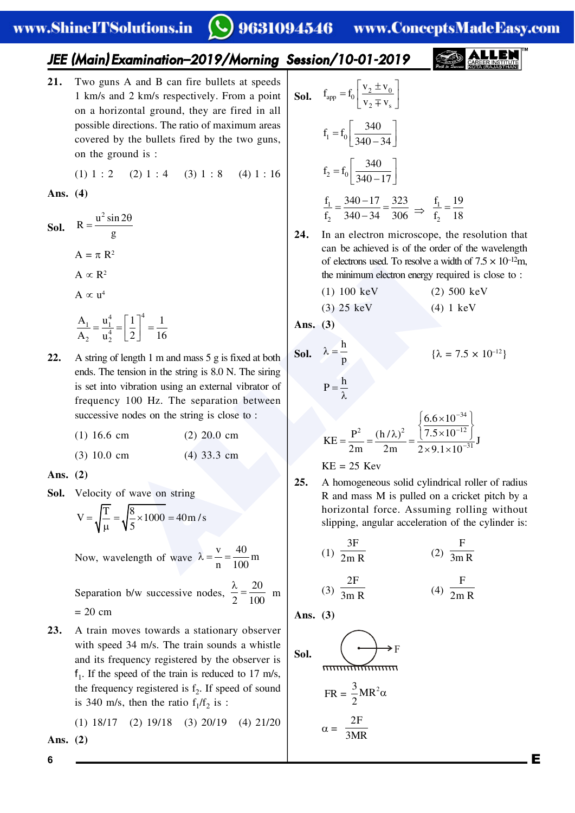## www.ShineITSolutions.in

9631094546 www.ConceptsMadeEasy.com

# *JEE (Main) Examination–2019/Morning Session/10-01-2019*

**21.** Two guns A and B can fire bullets at speeds 1 km/s and 2 km/s respectively. From a point on a horizontal ground, they are fired in all possible directions. The ratio of maximum areas covered by the bullets fired by the two guns, on the ground is :

(1)  $1 : 2$  (2)  $1 : 4$  (3)  $1 : 8$  (4)  $1 : 16$ 

### **Ans. (4)**

**Sol.**  $R = \frac{u^2 \sin 2u}{g}$ g  $=\frac{u^2 \sin 2\theta}{2}$  $A = \pi R^2$  $A \propto R^2$ A  $\propto$   $\mu^4$  $\frac{1}{1} - \frac{u_1^4}{1} - \left[ \frac{1}{1} \right]^4$ 2  $u_2^4$  $A_1$  u<sup>4</sup> | 1 |<sup>+</sup> 1  $\frac{A_1}{A_2} = \frac{u_1^4}{u_2^4} = \left[ \frac{1}{2} \right] = \frac{1}{16}$ 

of electrons used. 1o resolve a<br>
the minimum electrons used. 1o resolve a<br>
the minimum electrons used. 1o resolve a<br>
the minimum electron energy ration<br>
(1) 100 keV<br>
(2) 25 keV<br>
(4) 33.3 cm<br>
electrons using an external vi **22.** A string of length 1 m and mass 5 g is fixed at both ends. The tension in the string is 8.0 N. The siring is set into vibration using an external vibrator of frequency 100 Hz. The separation between successive nodes on the string is close to :

| $(1)$ 16.6 cm | $(2)$ 20.0 cm |  |  |  |
|---------------|---------------|--|--|--|
|               |               |  |  |  |

(3) 10.0 cm (4) 33.3 cm

**Ans. (2)**

**Sol.** Velocity of wave on string

$$
V = \sqrt{\frac{T}{\mu}} = \sqrt{\frac{8}{5} \times 1000} = 40 \text{ m/s}
$$

Now, wavelength of wave  $\frac{v}{v} = \frac{40}{100} m$ n 100  $\lambda = \dot{-}$ 

Separation b/w successive nodes, 20  $\frac{\lambda}{2} = \frac{20}{100}$  m  $= 20$  cm

**23.** A train moves towards a stationary observer with speed 34 m/s. The train sounds a whistle and its frequency registered by the observer is  $f_1$ . If the speed of the train is reduced to 17 m/s, the frequency registered is  $f_2$ . If speed of sound is 340 m/s, then the ratio  $f_1/f_2$  is :

(1) 18/17 (2) 19/18 (3) 20/19 (4) 21/20 **Ans. (2)**

**Sol.** 
$$
f_{app} = f_0 \left[ \frac{v_2 \pm v_0}{v_2 \mp v_s} \right]
$$
  
\n $f_1 = f_0 \left[ \frac{340}{340 - 34} \right]$   
\n $f_2 = f_0 \left[ \frac{340}{340 - 17} \right]$   
\n $\frac{f_1}{f_2} = \frac{340 - 17}{340 - 34} = \frac{323}{306} \implies \frac{f_1}{f_2} = \frac{19}{18}$ 

**24.** In an electron microscope, the resolution that can be achieved is of the order of the wavelength of electrons used. To resolve a width of  $7.5 \times 10^{-12}$ m, the minimum electron energy required is close to :

2

$$
(1) 100 keV \t(2) 500 keV
$$

$$
(3) 25 keV \t(4) 1 keV
$$

**Ans. (3)**

**Sol.** 
$$
\lambda = \frac{h}{p}
$$

 $P = \frac{h}{\lambda}$ 

2

$$
\lambda = \frac{\mathbf{n}}{n} \qquad \{ \lambda = 7.5 \times 10^{-12} \}
$$

$$
KE = \frac{P^2}{2m} = \frac{(h/\lambda)^2}{2m} = \frac{\left\{ \frac{6.6 \times 10^{-34}}{7.5 \times 10^{-12}} \right\}}{2 \times 9.1 \times 10^{-31}} J
$$

$$
KE = 25 \text{ Kev}
$$

**25.** A homogeneous solid cylindrical roller of radius R and mass M is pulled on a cricket pitch by a horizontal force. Assuming rolling without slipping, angular acceleration of the cylinder is:

$$
(1) \frac{3F}{2m R} \qquad (2) \frac{F}{3m R}
$$

(3) 
$$
\frac{2F}{3m R}
$$
 (4)  $\frac{F}{2m R}$ 

**Ans. (3)**

Sol.

\n
$$
\overbrace{FR = \frac{3}{2}MR^{2}\alpha}
$$
\n
$$
\alpha = \frac{2F}{3MR}
$$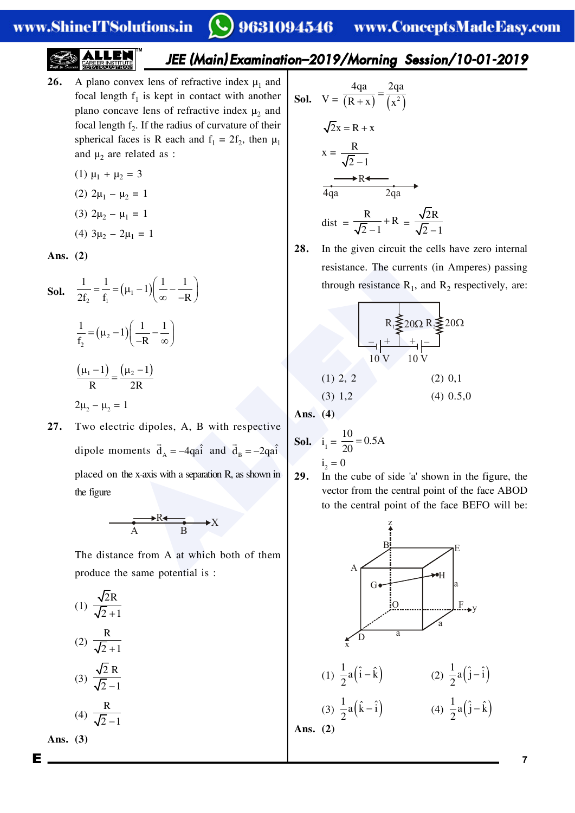# 9631094546 www.ConceptsMadeEasy.com

# *JEE (Main) Examination–2019/Morning Session/10-01-2019*

**26.** A plano convex lens of refractive index  $\mu_1$  and focal length  $f_1$  is kept in contact with another plano concave lens of refractive index  $\mu$ <sub>2</sub> and focal length  $f_2$ . If the radius of curvature of their spherical faces is R each and  $f_1 = 2f_2$ , then  $\mu_1$ and  $\mu_2$  are related as :

(1) 
$$
\mu_1 + \mu_2 = 3
$$

(2)  $2\mu_1 - \mu_2 = 1$ 

(3) 
$$
2\mu_2 - \mu_1 = 1
$$

(4) 
$$
3\mu_2 - 2\mu_1 = 1
$$

**Ans. (2)**

**Sol.** 
$$
\frac{1}{2f_2} = \frac{1}{f_1} = (\mu_1 - 1)(\frac{1}{\infty} - \frac{1}{-R})
$$
  
\n
$$
\frac{1}{f_2} = (\mu_2 - 1)(\frac{1}{-R} - \frac{1}{\infty})
$$
  
\n
$$
\frac{(\mu_1 - 1)}{R} = \frac{(\mu_2 - 1)}{2R}
$$
  
\n**27.** Two electric dipoles, A, B with respective dipole moments  $\vec{d}_A = -4q\hat{a}$  and  $\vec{d}_B = -2q\hat{a}$  (1) 2, 2 (2) (3) 1,2 (4)  
\n
$$
2\mu_2 - \mu_2 = 1
$$
  
\n
$$
2\mu_3 = 4q\hat{a}
$$
  
\n
$$
2\mu_4 = 4q\hat{a}
$$
  
\n
$$
2\mu_5 = 0
$$
  
\n
$$
2\mu_6 = -2q\hat{a}
$$
  
\n
$$
2\mu_7 = 0
$$
  
\n
$$
2\mu_8 = 0
$$
  
\n
$$
2\mu_9 = 0.5
$$
  
\n
$$
2\mu_1 = \frac{10}{20} = 0.5
$$
  
\n
$$
2\mu_1 = \frac{10}{20} = 0.5
$$
  
\n
$$
2\mu_2 = \mu_1 = 1
$$
  
\n
$$
2\mu_3 = 0
$$
  
\n
$$
2\mu_4 = 0
$$
  
\n
$$
2\mu_5 = 0
$$
  
\n
$$
2\mu_6 = 0.5
$$
  
\n
$$
2\mu_7 = 0
$$
  
\n
$$
2\mu_8 = 0.5
$$
  
\n
$$
2\mu_9 = 0.5
$$
  
\n
$$
2\mu_1 = \frac{10}{20} = 0.5
$$
  
\n
$$
2\mu_1 = \frac{10}{20} = 0.5
$$
  
\n
$$
2\mu_1 = \frac{10}{20} = 0.5
$$
  
\n
$$
2\mu_2 = \mu_3
$$

**27.** Two electric dipoles, A, B with respective dipole moments  $\vec{d}_A = -4qa\hat{i}$  and  $\vec{d}_B = -2qa\hat{i}$ placed on the x-axis with a separation R, as shown in the figure

$$
\xrightarrow{\qquad \qquad \bullet R \blacktriangle \qquad \qquad } X
$$

The distance from A at which both of them produce the same potential is :

(1) 
$$
\frac{\sqrt{2R}}{\sqrt{2}+1}
$$
  
\n(2)  $\frac{R}{\sqrt{2}+1}$   
\n(3)  $\frac{\sqrt{2}R}{\sqrt{2}-1}$   
\n(4)  $\frac{R}{\sqrt{2}-1}$ 

**Ans. (3)**

**Sol.** 
$$
V = \frac{4qa}{(R+x)} = \frac{2qa}{(x^{2})}
$$

\n
$$
\sqrt{2}x = R + x
$$

\n
$$
x = \frac{R}{\sqrt{2} - 1}
$$

\n
$$
\overrightarrow{4qa} = \frac{2qa}{2qa}
$$

\n
$$
dist = \frac{R}{\sqrt{2} - 1} + R = \frac{\sqrt{2}R}{\sqrt{2} - 1}
$$

**28.** In the given circuit the cells have zero internal resistance. The currents (in Amperes) passing through resistance  $R_1$ , and  $R_2$  respectively, are:

$$
R_1 \leq 20 \Omega R_2 \leq 20 \Omega
$$
  
\n
$$
-1 + +1 = 20 \Omega R_1
$$
  
\n
$$
10 V 10 V
$$
  
\n(1) 2, 2 (2) 0,1  
\n(3) 1,2 (4) 0.5,0

**Ans. (4)**

**Sol.** 
$$
i_1 = \frac{10}{20} = 0.5A
$$
  
 $i_2 = 0$ 

**29.** In the cube of side 'a' shown in the figure, the vector from the central point of the face ABOD to the central point of the face BEFO will be: